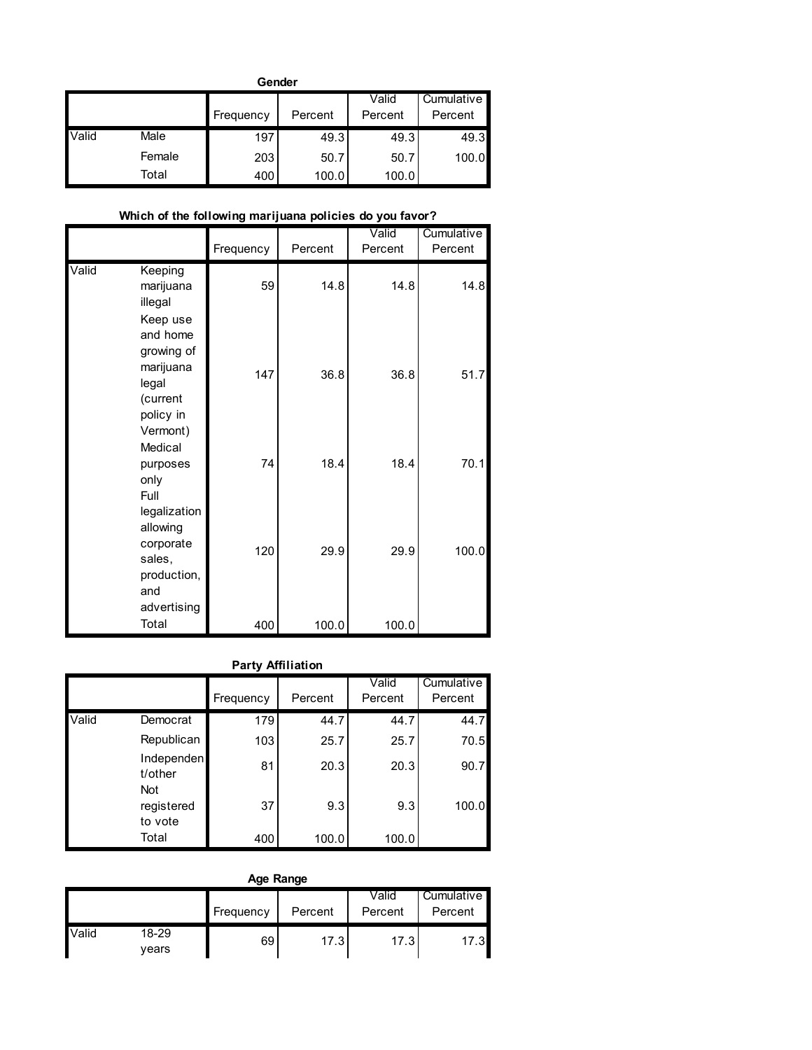|       | Gender |           |         |         |            |  |  |  |  |  |  |  |
|-------|--------|-----------|---------|---------|------------|--|--|--|--|--|--|--|
|       |        |           |         | Valid   | Cumulative |  |  |  |  |  |  |  |
|       |        | Frequency | Percent | Percent | Percent    |  |  |  |  |  |  |  |
| Valid | Male   | 197       | 49.3    | 49.3    | 49.3       |  |  |  |  |  |  |  |
|       | Female | 203       | 50.7    | 50.7    | 100.0      |  |  |  |  |  |  |  |
|       | Total  | 400       | 100.0   | 100.0   |            |  |  |  |  |  |  |  |

## **Which of the following marijuana policies do you favor?**

|       |                                                                                               | Frequency | Percent | Valid<br>Percent | Cumulative<br>Percent |
|-------|-----------------------------------------------------------------------------------------------|-----------|---------|------------------|-----------------------|
| Valid | Keeping<br>marijuana<br>illegal                                                               | 59        | 14.8    | 14.8             | 14.8                  |
|       | Keep use<br>and home<br>growing of<br>marijuana<br>legal<br>(current<br>policy in<br>Vermont) | 147       | 36.8    | 36.8             | 51.7                  |
|       | Medical<br>purposes<br>only                                                                   | 74        | 18.4    | 18.4             | 70.1                  |
|       | Full<br>legalization<br>allowing<br>corporate<br>sales,<br>production,<br>and<br>advertising  | 120       | 29.9    | 29.9             | 100.0                 |
|       | Total                                                                                         | 400       | 100.0   | 100.0            |                       |

# **Party Affiliation**

|       |                                     | Frequency | Percent | Valid<br>Percent | Cumulative<br>Percent |
|-------|-------------------------------------|-----------|---------|------------------|-----------------------|
| Valid | Democrat                            | 179       | 44.7    | 44.7             | 44.7                  |
|       | Republican                          | 103       | 25.7    | 25.7             | 70.5                  |
|       | Independen<br>t/other<br><b>Not</b> | 81        | 20.3    | 20.3             | 90.7                  |
|       | registered<br>to vote               | 37        | 9.3     | 9.3              | 100.0                 |
|       | Total                               | 400       | 100.0   | 100.0            |                       |

|       | Age Range      |           |         |                  |                       |  |  |  |  |  |  |  |
|-------|----------------|-----------|---------|------------------|-----------------------|--|--|--|--|--|--|--|
|       |                | Frequency | Percent | Valid<br>Percent | Cumulative<br>Percent |  |  |  |  |  |  |  |
| Valid | 18-29<br>years | 69        | 17.3    | 17.3             | 17.31                 |  |  |  |  |  |  |  |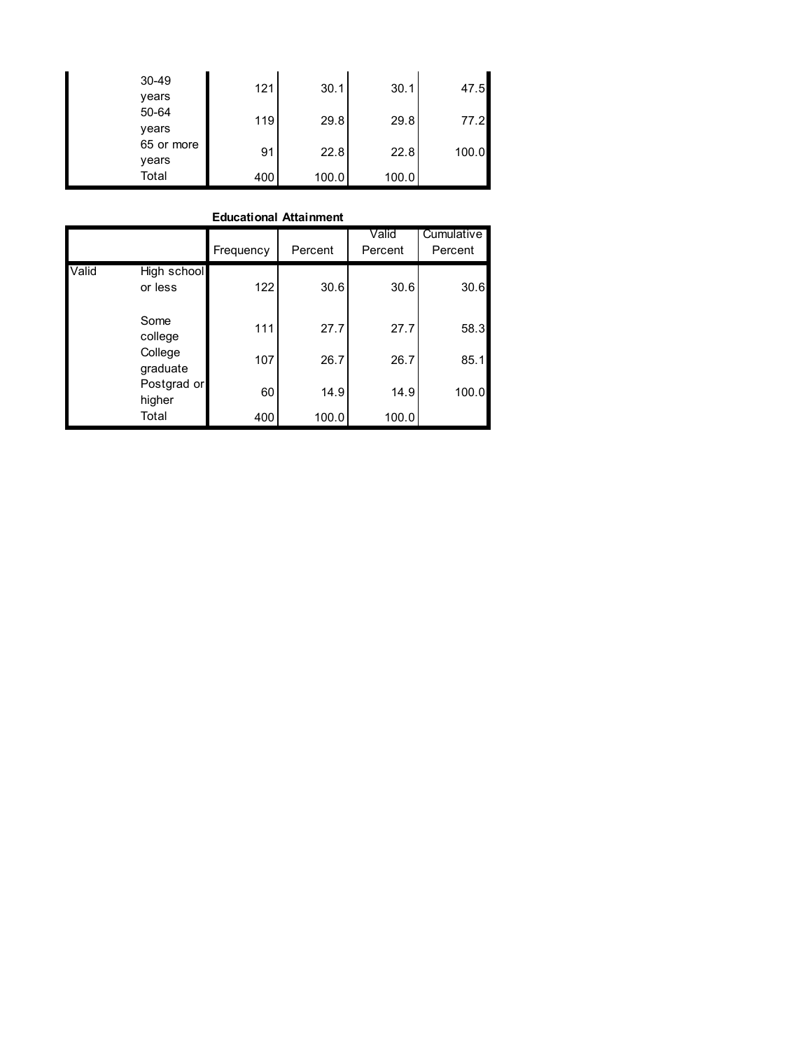| 30-49<br>years      | 121 | 30.1  | 30.1  | 47.5  |
|---------------------|-----|-------|-------|-------|
| 50-64<br>years      | 119 | 29.8  | 29.8  | 77.2  |
| 65 or more<br>years | 91  | 22.8  | 22.8  | 100.0 |
| Total               | 400 | 100.0 | 100.0 |       |

#### **Educational Attainment**

|       |                        | <b>Educational Attainment</b> |         |                  |                       |
|-------|------------------------|-------------------------------|---------|------------------|-----------------------|
|       |                        | Frequency                     | Percent | Valid<br>Percent | Cumulative<br>Percent |
| Valid | High school<br>or less | 122                           | 30.6    | 30.6             | 30.6                  |
|       | Some<br>college        | 111                           | 27.7    | 27.7             | 58.3                  |
|       | College<br>graduate    | 107                           | 26.7    | 26.7             | 85.1                  |
|       | Postgrad or<br>higher  | 60                            | 14.9    | 14.9             | 100.0                 |
|       | Total                  | 400                           | 100.0   | 100.0            |                       |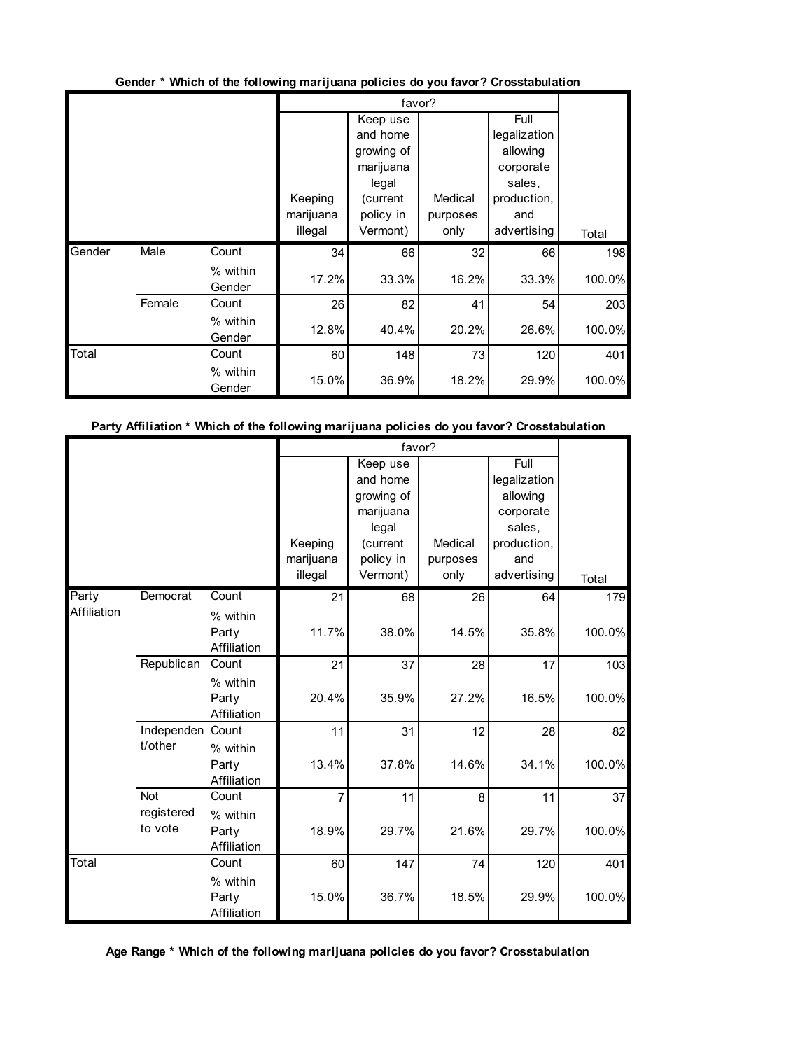|        |        |                    |           |            | favor?   |              |        |
|--------|--------|--------------------|-----------|------------|----------|--------------|--------|
|        |        |                    |           | Keep use   |          | Full         |        |
|        |        |                    |           | and home   |          | legalization |        |
|        |        |                    |           | growing of |          | allowing     |        |
|        |        |                    |           | marijuana  |          | corporate    |        |
|        |        |                    |           | legal      |          | sales,       |        |
|        |        |                    | Keeping   | (current   | Medical  | production,  |        |
|        |        |                    | marijuana | policy in  | purposes | and          |        |
|        |        |                    | illegal   | Vermont)   | only     | advertising  | Total  |
| Gender | Male   | Count              | 34        | 66         | 32       | 66           | 198    |
|        |        | % within<br>Gender | 17.2%     | 33.3%      | 16.2%    | 33.3%        | 100.0% |
|        | Female | Count              | 26        | 82         | 41       | 54           | 203    |
|        |        | % within<br>Gender | 12.8%     | 40.4%      | 20.2%    | 26.6%        | 100.0% |
| Total  |        | Count              | 60        | 148        | 73       | 120          | 401    |
|        |        | % within<br>Gender | 15.0%     | 36.9%      | 18.2%    | 29.9%        | 100.0% |

Gender \* Which of the following marijuana policies do you favor? Crosstabulation

## Party Affiliation \* Which of the following marijuana policies do you favor? Crosstabulation

|             |                       |                      |                | favor?     |          |              |        |
|-------------|-----------------------|----------------------|----------------|------------|----------|--------------|--------|
|             |                       |                      |                | Keep use   |          | Full         |        |
|             |                       |                      |                | and home   |          | legalization |        |
|             |                       |                      |                | growing of |          | allowing     |        |
|             |                       |                      |                | marijuana  |          | corporate    |        |
|             |                       |                      |                | legal      |          | sales,       |        |
|             |                       |                      | Keeping        | (current   | Medical  | production,  |        |
|             |                       |                      | marijuana      | policy in  | purposes | and          |        |
|             |                       |                      | illegal        | Vermont)   | only     | advertising  | Total  |
| Party       | Democrat              | Count                | 21             | 68         | 26       | 64           | 179    |
| Affiliation |                       | % within             |                |            |          |              |        |
|             |                       | Party                | 11.7%          | 38.0%      | 14.5%    | 35.8%        | 100.0% |
|             |                       | Affiliation          |                |            |          |              |        |
|             | Republican            | Count                | 21             | 37         | 28       | 17           | 103    |
|             |                       | % within             |                |            |          |              |        |
|             |                       | Party                | 20.4%          | 35.9%      | 27.2%    | 16.5%        | 100.0% |
|             |                       | Affiliation          |                |            |          |              |        |
|             | Independen Count      |                      | 11             | 31         | 12       | 28           | 82     |
|             | t/other               | % within             |                |            |          |              |        |
|             |                       | Party                | 13.4%          | 37.8%      | 14.6%    | 34.1%        | 100.0% |
|             |                       | Affiliation          |                |            |          |              |        |
|             | <b>Not</b>            | Count                | $\overline{7}$ | 11         | 8        | 11           | 37     |
|             | registered<br>to vote | % within             |                |            |          |              |        |
|             |                       | Party                | 18.9%          | 29.7%      | 21.6%    | 29.7%        | 100.0% |
| Total       |                       | Affiliation          |                |            |          |              |        |
|             |                       | Count                | 60             | 147        | 74       | 120          | 401    |
|             |                       | % within             |                |            |          |              |        |
|             |                       | Party<br>Affiliation | 15.0%          | 36.7%      | 18.5%    | 29.9%        | 100.0% |
|             |                       |                      |                |            |          |              |        |

**Age Range \* Which of the following marijuana policies do you favor? Crosstabulation**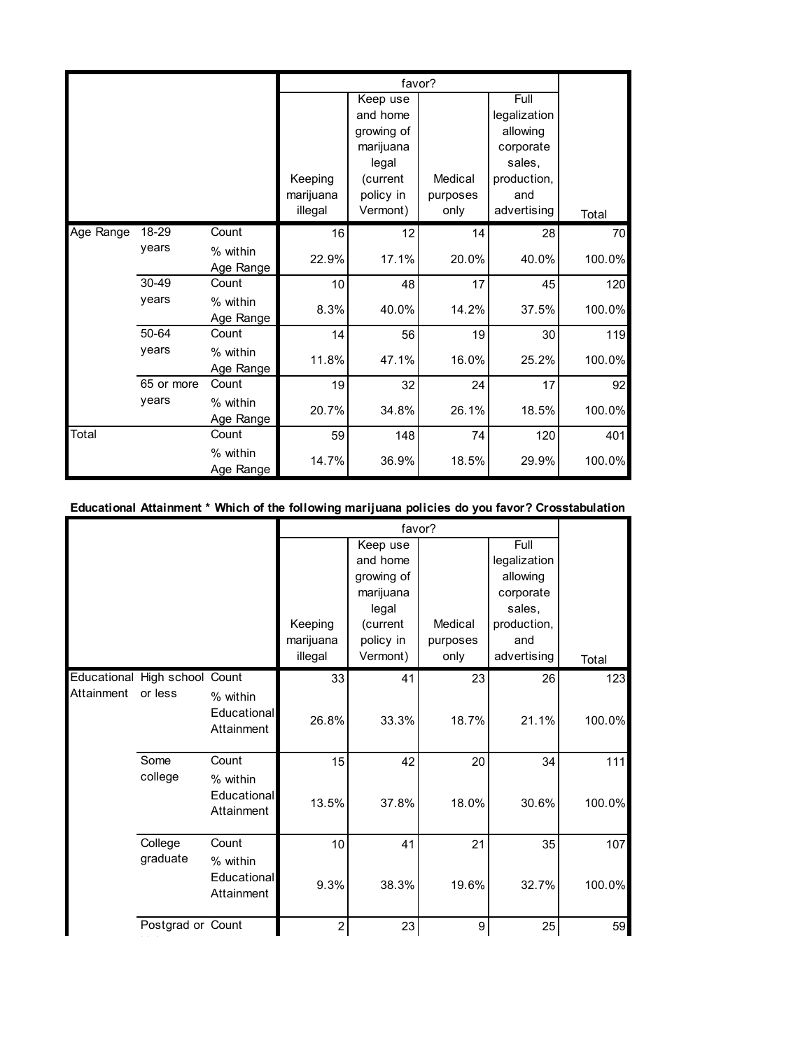|           |            |                       |           | favor?     |          |              |        |
|-----------|------------|-----------------------|-----------|------------|----------|--------------|--------|
|           |            |                       |           | Keep use   |          | Full         |        |
|           |            |                       |           | and home   |          | legalization |        |
|           |            |                       |           | growing of |          | allowing     |        |
|           |            |                       |           | marijuana  |          | corporate    |        |
|           |            |                       |           | legal      |          | sales,       |        |
|           |            |                       | Keeping   | (current   | Medical  | production,  |        |
|           |            |                       | marijuana | policy in  | purposes | and          |        |
|           |            |                       | illegal   | Vermont)   | only     | advertising  | Total  |
| Age Range | 18-29      | Count                 | 16        | 12         | 14       | 28           | 70     |
|           | years      | % within<br>Age Range | 22.9%     | 17.1%      | 20.0%    | 40.0%        | 100.0% |
|           | 30-49      | Count                 | 10        | 48         | 17       | 45           | 120    |
|           | years      | % within<br>Age Range | 8.3%      | 40.0%      | 14.2%    | 37.5%        | 100.0% |
|           | 50-64      | Count                 | 14        | 56         | 19       | 30           | 119    |
|           | years      | % within<br>Age Range | 11.8%     | 47.1%      | 16.0%    | 25.2%        | 100.0% |
|           | 65 or more | Count                 | 19        | 32         | 24       | 17           | 92     |
|           | years      | % within<br>Age Range | 20.7%     | 34.8%      | 26.1%    | 18.5%        | 100.0% |
| Total     |            | Count                 | 59        | 148        | 74       | 120          | 401    |
|           |            | % within<br>Age Range | 14.7%     | 36.9%      | 18.5%    | 29.9%        | 100.0% |

# Educational Attainment \* Which of the following marijuana policies do you favor? Crosstabulation

|            |                               |                                       |                | favor?     |          |              |        |
|------------|-------------------------------|---------------------------------------|----------------|------------|----------|--------------|--------|
|            |                               |                                       |                | Keep use   |          | Full         |        |
|            |                               |                                       |                | and home   |          | legalization |        |
|            |                               |                                       |                | growing of |          | allowing     |        |
|            |                               |                                       |                | marijuana  |          | corporate    |        |
|            |                               |                                       |                | legal      |          | sales,       |        |
|            |                               |                                       | Keeping        | (current   | Medical  | production,  |        |
|            |                               |                                       | marijuana      | policy in  | purposes | and          |        |
|            |                               |                                       | illegal        | Vermont)   | only     | advertising  | Total  |
|            | Educational High school Count |                                       | 33             | 41         | 23       | 26           | 123    |
| Attainment | or less                       | % within<br>Educational<br>Attainment | 26.8%          | 33.3%      | 18.7%    | 21.1%        | 100.0% |
|            | Some                          | Count                                 | 15             | 42         | 20       | 34           | $111$  |
|            | college                       | % within<br>Educational<br>Attainment | 13.5%          | 37.8%      | 18.0%    | 30.6%        | 100.0% |
|            | College                       | Count                                 | 10             | 41         | 21       | 35           | 107    |
|            | graduate                      | % within<br>Educational<br>Attainment | 9.3%           | 38.3%      | 19.6%    | 32.7%        | 100.0% |
|            | Postgrad or Count             |                                       | $\overline{c}$ | 23         | 9        | 25           | 59     |